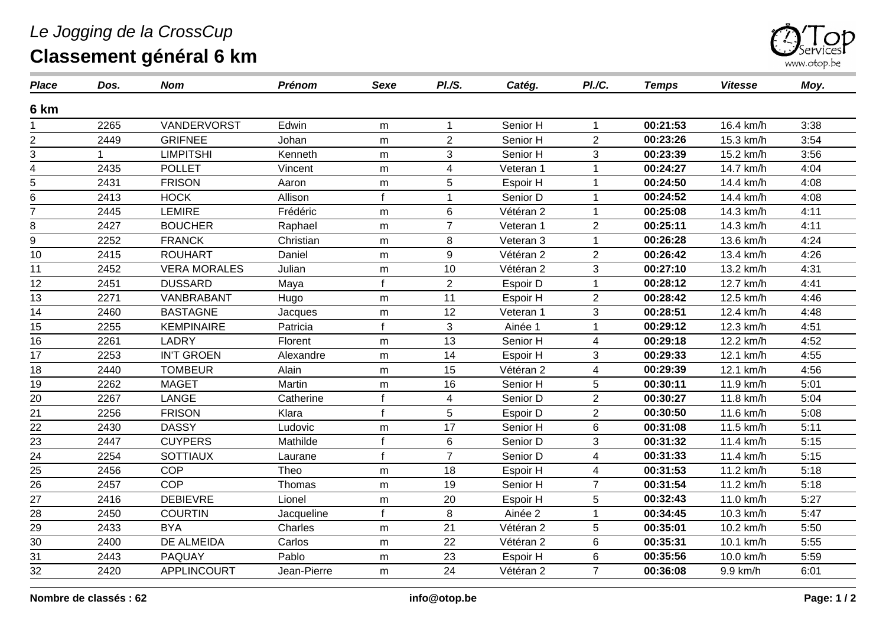## *Le Jogging de la CrossCup*



## **Classement général 6 km**

| <b>Place</b>            | Dos. | <b>Nom</b>          | <b>Prénom</b> | Sexe             | <i>PI./S.</i>  | Catég.    | PI./C.               | <b>Temps</b>          | <b>Vitesse</b> | Moy. |
|-------------------------|------|---------------------|---------------|------------------|----------------|-----------|----------------------|-----------------------|----------------|------|
| 6 km                    |      |                     |               |                  |                |           |                      |                       |                |      |
|                         | 2265 | VANDERVORST         | Edwin         | m                | $\mathbf 1$    | Senior H  | $\mathbf{1}$         | $\overline{00:}21:53$ | 16.4 km/h      | 3:38 |
| $\overline{2}$          | 2449 | <b>GRIFNEE</b>      | Johan         | m                | $\overline{2}$ | Senior H  | $\overline{2}$       | 00:23:26              | 15.3 km/h      | 3:54 |
| 3                       |      | <b>LIMPITSHI</b>    | Kenneth       | m                | 3              | Senior H  | 3                    | 00:23:39              | 15.2 km/h      | 3:56 |
| $\overline{\mathbf{4}}$ | 2435 | <b>POLLET</b>       | Vincent       | ${\sf m}$        | $\overline{4}$ | Veteran 1 | $\overline{1}$       | 00:24:27              | 14.7 km/h      | 4:04 |
| 5                       | 2431 | <b>FRISON</b>       | Aaron         | m                | 5              | Espoir H  |                      | 00:24:50              | 14.4 km/h      | 4:08 |
| 6                       | 2413 | <b>HOCK</b>         | Allison       | $\mathbf{f}$     | $\mathbf 1$    | Senior D  | -1                   | 00:24:52              | 14.4 km/h      | 4:08 |
| $\overline{7}$          | 2445 | <b>LEMIRE</b>       | Frédéric      | m                | 6              | Vétéran 2 | $\blacktriangleleft$ | 00:25:08              | 14.3 km/h      | 4:11 |
| 8                       | 2427 | <b>BOUCHER</b>      | Raphael       | m                | $\overline{7}$ | Veteran 1 | $\overline{2}$       | 00:25:11              | 14.3 km/h      | 4:11 |
| 9                       | 2252 | <b>FRANCK</b>       | Christian     | m                | 8              | Veteran 3 | $\overline{1}$       | 00:26:28              | 13.6 km/h      | 4:24 |
| 10                      | 2415 | <b>ROUHART</b>      | Daniel        | m                | 9              | Vétéran 2 | $\overline{2}$       | 00:26:42              | 13.4 km/h      | 4:26 |
| 11                      | 2452 | <b>VERA MORALES</b> | Julian        | m                | 10             | Vétéran 2 | 3                    | 00:27:10              | 13.2 km/h      | 4:31 |
| 12                      | 2451 | <b>DUSSARD</b>      | Maya          | $\mathbf{f}$     | $\overline{2}$ | Espoir D  | 1                    | 00:28:12              | 12.7 km/h      | 4:41 |
| 13                      | 2271 | VANBRABANT          | Hugo          | m                | 11             | Espoir H  | $\overline{2}$       | 00:28:42              | 12.5 km/h      | 4:46 |
| $\overline{14}$         | 2460 | <b>BASTAGNE</b>     | Jacques       | ${\sf m}$        | 12             | Veteran 1 | 3                    | 00:28:51              | 12.4 km/h      | 4:48 |
| 15                      | 2255 | <b>KEMPINAIRE</b>   | Patricia      |                  | 3              | Ainée 1   | $\overline{1}$       | 00:29:12              | 12.3 km/h      | 4:51 |
| 16                      | 2261 | <b>LADRY</b>        | Florent       | m                | 13             | Senior H  | 4                    | 00:29:18              | 12.2 km/h      | 4:52 |
| $\overline{17}$         | 2253 | <b>IN'T GROEN</b>   | Alexandre     | m                | 14             | Espoir H  | 3                    | 00:29:33              | 12.1 km/h      | 4:55 |
| 18                      | 2440 | <b>TOMBEUR</b>      | Alain         | m                | 15             | Vétéran 2 | $\overline{4}$       | 00:29:39              | 12.1 km/h      | 4:56 |
| 19                      | 2262 | <b>MAGET</b>        | Martin        | m                | 16             | Senior H  | 5                    | 00:30:11              | 11.9 km/h      | 5:01 |
| 20                      | 2267 | LANGE               | Catherine     | $\mathbf{f}$     | $\overline{4}$ | Senior D  | $\overline{2}$       | 00:30:27              | 11.8 km/h      | 5:04 |
| 21                      | 2256 | <b>FRISON</b>       | Klara         | $\pmb{\epsilon}$ | 5              | Espoir D  | $\overline{2}$       | 00:30:50              | 11.6 km/h      | 5:08 |
| 22                      | 2430 | <b>DASSY</b>        | Ludovic       | m                | 17             | Senior H  | $6\phantom{1}$       | 00:31:08              | 11.5 km/h      | 5:11 |
| 23                      | 2447 | <b>CUYPERS</b>      | Mathilde      |                  | 6              | Senior D  | 3                    | 00:31:32              | 11.4 km/h      | 5:15 |
| $\overline{24}$         | 2254 | <b>SOTTIAUX</b>     | Laurane       | $\mathbf{f}$     | $\overline{7}$ | Senior D  | $\overline{4}$       | 00:31:33              | 11.4 km/h      | 5:15 |
| 25                      | 2456 | <b>COP</b>          | Theo          | m                | 18             | Espoir H  | 4                    | 00:31:53              | 11.2 km/h      | 5:18 |
| 26                      | 2457 | <b>COP</b>          | Thomas        | m                | 19             | Senior H  | $\overline{7}$       | 00:31:54              | 11.2 km/h      | 5:18 |
| $\overline{27}$         | 2416 | <b>DEBIEVRE</b>     | Lionel        | m                | 20             | Espoir H  | 5                    | 00:32:43              | 11.0 km/h      | 5:27 |
| 28                      | 2450 | <b>COURTIN</b>      | Jacqueline    | $\mathbf{f}$     | 8              | Ainée 2   | 1                    | 00:34:45              | 10.3 km/h      | 5:47 |
| 29                      | 2433 | <b>BYA</b>          | Charles       | m                | 21             | Vétéran 2 | 5                    | 00:35:01              | 10.2 km/h      | 5:50 |
| $\overline{30}$         | 2400 | <b>DE ALMEIDA</b>   | Carlos        | ${\sf m}$        | 22             | Vétéran 2 | $\,6$                | 00:35:31              | 10.1 km/h      | 5:55 |
| $\overline{31}$         | 2443 | PAQUAY              | Pablo         | m                | 23             | Espoir H  | 6                    | 00:35:56              | 10.0 km/h      | 5:59 |
| $\overline{32}$         | 2420 | <b>APPLINCOURT</b>  | Jean-Pierre   | m                | 24             | Vétéran 2 | $\overline{7}$       | 00:36:08              | 9.9 km/h       | 6:01 |
|                         |      |                     |               |                  |                |           |                      |                       |                |      |